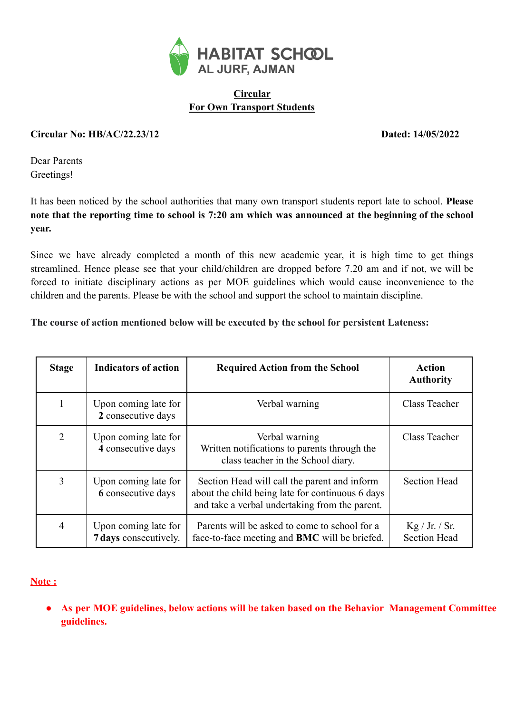

# **Circular For Own Transport Students**

#### **Circular No: HB/AC/22.23/12 Dated: 14/05/2022**

Dear Parents Greetings!

It has been noticed by the school authorities that many own transport students report late to school. **Please** note that the reporting time to school is 7:20 am which was announced at the beginning of the school **year.**

Since we have already completed a month of this new academic year, it is high time to get things streamlined. Hence please see that your child/children are dropped before 7.20 am and if not, we will be forced to initiate disciplinary actions as per MOE guidelines which would cause inconvenience to the children and the parents. Please be with the school and support the school to maintain discipline.

### **The course of action mentioned below will be executed by the school for persistent Lateness:**

| <b>Stage</b>                                                    | <b>Indicators of action</b>                | <b>Required Action from the School</b>                                                                                                             | Action<br><b>Authority</b>            |
|-----------------------------------------------------------------|--------------------------------------------|----------------------------------------------------------------------------------------------------------------------------------------------------|---------------------------------------|
| 1                                                               | Upon coming late for<br>2 consecutive days | Verbal warning                                                                                                                                     | Class Teacher                         |
| 2                                                               | Upon coming late for<br>4 consecutive days | Verbal warning<br>Written notifications to parents through the<br>class teacher in the School diary.                                               | Class Teacher                         |
| $\overline{3}$                                                  | Upon coming late for<br>6 consecutive days | Section Head will call the parent and inform<br>about the child being late for continuous 6 days<br>and take a verbal undertaking from the parent. | <b>Section Head</b>                   |
| $\overline{4}$<br>Upon coming late for<br>7 days consecutively. |                                            | Parents will be asked to come to school for a<br>face-to-face meeting and BMC will be briefed.                                                     | Kg / Jr. / Sr.<br><b>Section Head</b> |

### **Note :**

**● As per MOE guidelines, below actions will be taken based on the Behavior Management Committee guidelines.**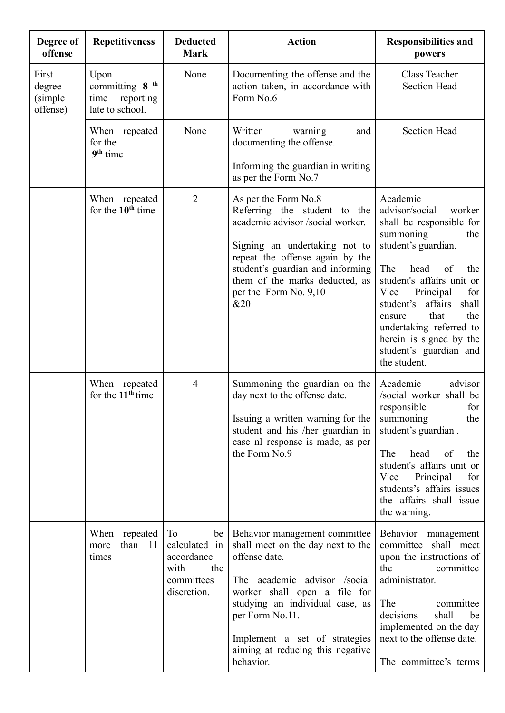| Degree of<br>offense                    | <b>Repetitiveness</b>                                                      | <b>Deducted</b><br><b>Mark</b>                                                        | <b>Action</b>                                                                                                                                                                                                                                                                               | <b>Responsibilities and</b><br>powers                                                                                                                                                                                                                                                                                                                   |
|-----------------------------------------|----------------------------------------------------------------------------|---------------------------------------------------------------------------------------|---------------------------------------------------------------------------------------------------------------------------------------------------------------------------------------------------------------------------------------------------------------------------------------------|---------------------------------------------------------------------------------------------------------------------------------------------------------------------------------------------------------------------------------------------------------------------------------------------------------------------------------------------------------|
| First<br>degree<br>(simple)<br>offense) | Upon<br>committing 8 <sup>th</sup><br>reporting<br>time<br>late to school. | None                                                                                  | Documenting the offense and the<br>action taken, in accordance with<br>Form No.6                                                                                                                                                                                                            | Class Teacher<br><b>Section Head</b>                                                                                                                                                                                                                                                                                                                    |
|                                         | When repeated<br>for the<br>9 <sup>th</sup> time                           | None                                                                                  | Written<br>warning<br>and<br>documenting the offense.<br>Informing the guardian in writing<br>as per the Form No.7                                                                                                                                                                          | <b>Section Head</b>                                                                                                                                                                                                                                                                                                                                     |
|                                         | When repeated<br>for the $10^{th}$ time                                    | $\overline{2}$                                                                        | As per the Form No.8<br>Referring the student to the<br>academic advisor /social worker.<br>Signing an undertaking not to<br>repeat the offense again by the<br>student's guardian and informing<br>them of the marks deducted, as<br>per the Form No. 9,10<br>&20                          | Academic<br>advisor/social<br>worker<br>shall be responsible for<br>summoning<br>the<br>student's guardian.<br>The<br>head<br>of<br>the<br>student's affairs unit or<br>Vice<br>Principal<br>for<br>student's affairs<br>shall<br>that<br>the<br>ensure<br>undertaking referred to<br>herein is signed by the<br>student's guardian and<br>the student. |
|                                         | When repeated<br>for the 11 <sup>th</sup> time                             | $\overline{4}$                                                                        | Summoning the guardian on the<br>day next to the offense date.<br>Issuing a written warning for the<br>student and his /her guardian in<br>case nl response is made, as per<br>the Form No.9                                                                                                | Academic<br>advisor<br>/social worker shall be<br>responsible<br>for  <br>the<br>summoning<br>student's guardian.<br>The<br>head<br>the<br>of<br>student's affairs unit or<br>Vice<br>Principal<br>for<br>students's affairs issues<br>the affairs shall issue<br>the warning.                                                                          |
|                                         | When<br>repeated<br>than<br>-11<br>more<br>times                           | To<br>be  <br>calculated in<br>accordance<br>with<br>the<br>committees<br>discretion. | Behavior management committee<br>shall meet on the day next to the<br>offense date.<br>The academic advisor /social<br>worker shall open a file for<br>studying an individual case, as<br>per Form No.11.<br>Implement a set of strategies<br>aiming at reducing this negative<br>behavior. | Behavior management<br>committee shall meet<br>upon the instructions of<br>the<br>committee<br>administrator.<br>The<br>committee<br>decisions<br>shall<br>be<br>implemented on the day<br>next to the offense date.<br>The committee's terms                                                                                                           |